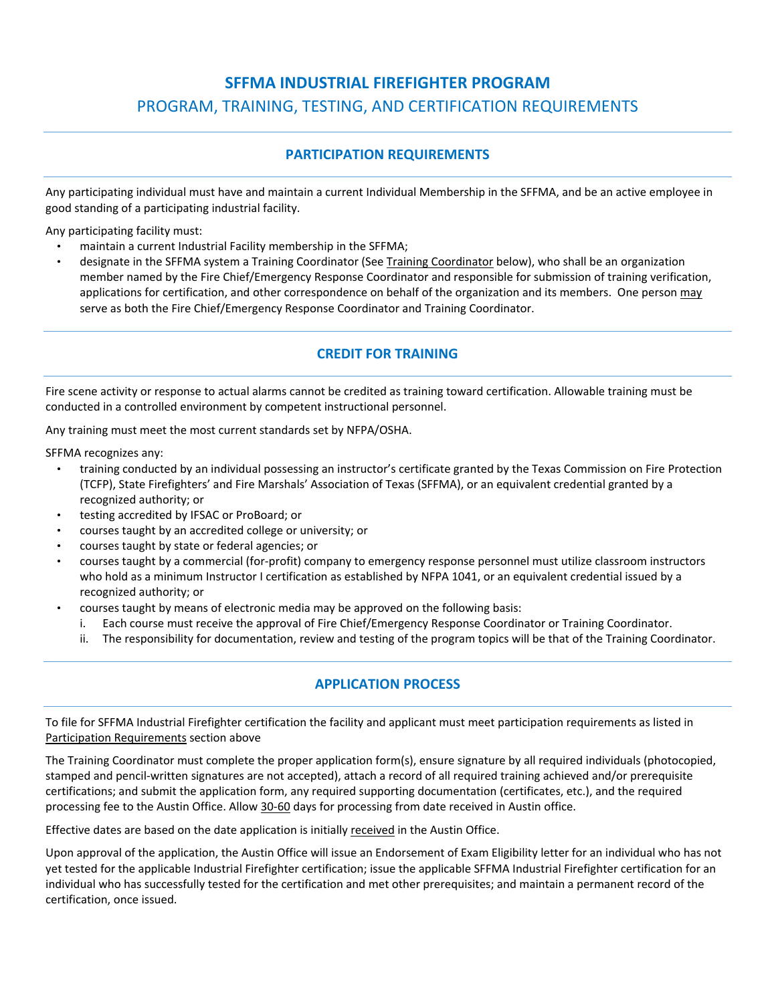# **SFFMA INDUSTRIAL FIREFIGHTER PROGRAM**  PROGRAM, TRAINING, TESTING, AND CERTIFICATION REQUIREMENTS

# **PARTICIPATION REQUIREMENTS**

Any participating individual must have and maintain a current Individual Membership in the SFFMA, and be an active employee in good standing of a participating industrial facility.

Any participating facility must:

- maintain a current Industrial Facility membership in the SFFMA;
- designate in the SFFMA system a Training Coordinator (See Training Coordinator below), who shall be an organization member named by the Fire Chief/Emergency Response Coordinator and responsible for submission of training verification, applications for certification, and other correspondence on behalf of the organization and its members. One person may serve as both the Fire Chief/Emergency Response Coordinator and Training Coordinator.

# **CREDIT FOR TRAINING**

Fire scene activity or response to actual alarms cannot be credited as training toward certification. Allowable training must be conducted in a controlled environment by competent instructional personnel.

Any training must meet the most current standards set by NFPA/OSHA.

SFFMA recognizes any:

- training conducted by an individual possessing an instructor's certificate granted by the Texas Commission on Fire Protection (TCFP), State Firefighters' and Fire Marshals' Association of Texas (SFFMA), or an equivalent credential granted by a recognized authority; or
- testing accredited by IFSAC or ProBoard; or
- courses taught by an accredited college or university; or
- courses taught by state or federal agencies; or
- courses taught by a commercial (for‐profit) company to emergency response personnel must utilize classroom instructors who hold as a minimum Instructor I certification as established by NFPA 1041, or an equivalent credential issued by a recognized authority; or
	- courses taught by means of electronic media may be approved on the following basis:
		- i. Each course must receive the approval of Fire Chief/Emergency Response Coordinator or Training Coordinator.
		- ii. The responsibility for documentation, review and testing of the program topics will be that of the Training Coordinator.

# **APPLICATION PROCESS**

To file for SFFMA Industrial Firefighter certification the facility and applicant must meet participation requirements as listed in Participation Requirements section above

The Training Coordinator must complete the proper application form(s), ensure signature by all required individuals (photocopied, stamped and pencil‐written signatures are not accepted), attach a record of all required training achieved and/or prerequisite certifications; and submit the application form, any required supporting documentation (certificates, etc.), and the required processing fee to the Austin Office. Allow 30-60 days for processing from date received in Austin office.

Effective dates are based on the date application is initially received in the Austin Office.

Upon approval of the application, the Austin Office will issue an Endorsement of Exam Eligibility letter for an individual who has not yet tested for the applicable Industrial Firefighter certification; issue the applicable SFFMA Industrial Firefighter certification for an individual who has successfully tested for the certification and met other prerequisites; and maintain a permanent record of the certification, once issued.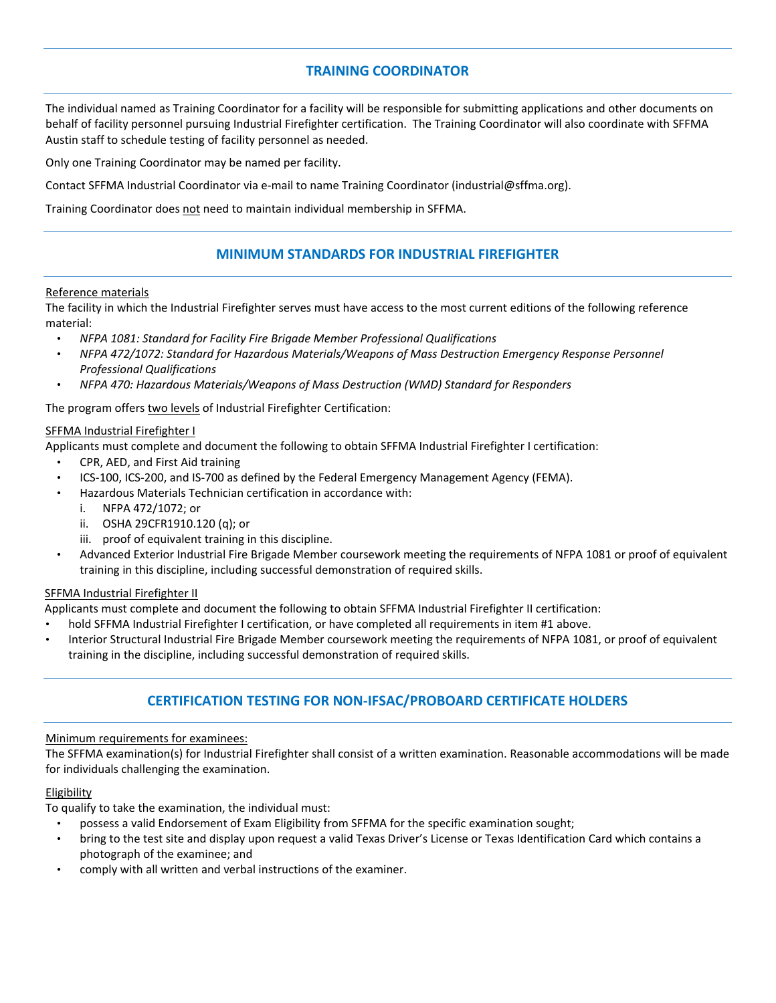### **TRAINING COORDINATOR**

The individual named as Training Coordinator for a facility will be responsible for submitting applications and other documents on behalf of facility personnel pursuing Industrial Firefighter certification. The Training Coordinator will also coordinate with SFFMA Austin staff to schedule testing of facility personnel as needed.

Only one Training Coordinator may be named per facility.

Contact SFFMA Industrial Coordinator via e-mail to name Training Coordinator (industrial@sffma.org).

Training Coordinator does not need to maintain individual membership in SFFMA.

### **MINIMUM STANDARDS FOR INDUSTRIAL FIREFIGHTER**

#### Reference materials

The facility in which the Industrial Firefighter serves must have access to the most current editions of the following reference material:

- *NFPA 1081: Standard for Facility Fire Brigade Member Professional Qualifications*
- *NFPA 472/1072: Standard for Hazardous Materials/Weapons of Mass Destruction Emergency Response Personnel Professional Qualifications*
- *NFPA 470: Hazardous Materials/Weapons of Mass Destruction (WMD) Standard for Responders*

The program offers two levels of Industrial Firefighter Certification:

#### SFFMA Industrial Firefighter I

Applicants must complete and document the following to obtain SFFMA Industrial Firefighter I certification:

- CPR, AED, and First Aid training
- ICS-100, ICS-200, and IS-700 as defined by the Federal Emergency Management Agency (FEMA).
- Hazardous Materials Technician certification in accordance with:
	- i. NFPA 472/1072; or
	- ii. OSHA 29CFR1910.120 (q); or
	- iii. proof of equivalent training in this discipline.
- Advanced Exterior Industrial Fire Brigade Member coursework meeting the requirements of NFPA 1081 or proof of equivalent training in this discipline, including successful demonstration of required skills.

#### SFFMA Industrial Firefighter II

Applicants must complete and document the following to obtain SFFMA Industrial Firefighter II certification:

- hold SFFMA Industrial Firefighter I certification, or have completed all requirements in item #1 above.
- Interior Structural Industrial Fire Brigade Member coursework meeting the requirements of NFPA 1081, or proof of equivalent training in the discipline, including successful demonstration of required skills.

# **CERTIFICATION TESTING FOR NON‐IFSAC/PROBOARD CERTIFICATE HOLDERS**

#### Minimum requirements for examinees:

The SFFMA examination(s) for Industrial Firefighter shall consist of a written examination. Reasonable accommodations will be made for individuals challenging the examination.

### Eligibility

To qualify to take the examination, the individual must:

- possess a valid Endorsement of Exam Eligibility from SFFMA for the specific examination sought;
- bring to the test site and display upon request a valid Texas Driver's License or Texas Identification Card which contains a photograph of the examinee; and
- comply with all written and verbal instructions of the examiner.